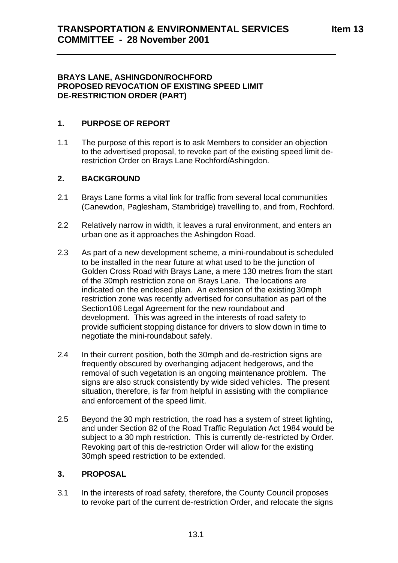# **BRAYS LANE, ASHINGDON/ROCHFORD PROPOSED REVOCATION OF EXISTING SPEED LIMIT DE-RESTRICTION ORDER (PART)**

# **1. PURPOSE OF REPORT**

1.1 The purpose of this report is to ask Members to consider an objection to the advertised proposal, to revoke part of the existing speed limit derestriction Order on Brays Lane Rochford/Ashingdon.

# **2. BACKGROUND**

- 2.1 Brays Lane forms a vital link for traffic from several local communities (Canewdon, Paglesham, Stambridge) travelling to, and from, Rochford.
- 2.2 Relatively narrow in width, it leaves a rural environment, and enters an urban one as it approaches the Ashingdon Road.
- 2.3 As part of a new development scheme, a mini-roundabout is scheduled to be installed in the near future at what used to be the junction of Golden Cross Road with Brays Lane, a mere 130 metres from the start of the 30mph restriction zone on Brays Lane. The locations are indicated on the enclosed plan. An extension of the existing 30mph restriction zone was recently advertised for consultation as part of the Section106 Legal Agreement for the new roundabout and development. This was agreed in the interests of road safety to provide sufficient stopping distance for drivers to slow down in time to negotiate the mini-roundabout safely.
- 2.4 In their current position, both the 30mph and de-restriction signs are frequently obscured by overhanging adjacent hedgerows, and the removal of such vegetation is an ongoing maintenance problem. The signs are also struck consistently by wide sided vehicles. The present situation, therefore, is far from helpful in assisting with the compliance and enforcement of the speed limit.
- 2.5 Beyond the 30 mph restriction, the road has a system of street lighting, and under Section 82 of the Road Traffic Regulation Act 1984 would be subject to a 30 mph restriction. This is currently de-restricted by Order. Revoking part of this de-restriction Order will allow for the existing 30mph speed restriction to be extended.

# **3. PROPOSAL**

3.1 In the interests of road safety, therefore, the County Council proposes to revoke part of the current de-restriction Order, and relocate the signs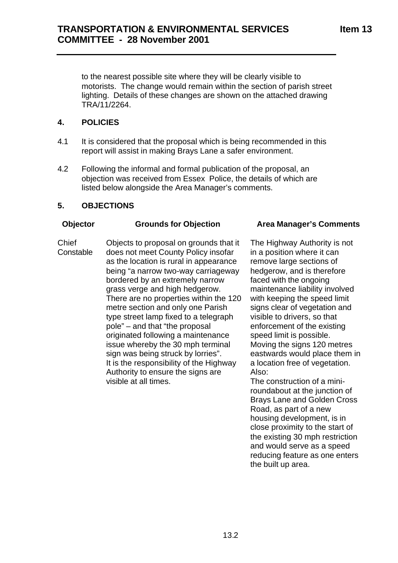to the nearest possible site where they will be clearly visible to motorists. The change would remain within the section of parish street lighting. Details of these changes are shown on the attached drawing TRA/11/2264.

### **4. POLICIES**

- 4.1 It is considered that the proposal which is being recommended in this report will assist in making Brays Lane a safer environment.
- 4.2 Following the informal and formal publication of the proposal, an objection was received from Essex Police, the details of which are listed below alongside the Area Manager's comments.

## **5. OBJECTIONS**

#### **Objector Grounds for Objection Area Manager's Comments**

Chief **Constable** Objects to proposal on grounds that it does not meet County Policy insofar as the location is rural in appearance being "a narrow two-way carriageway bordered by an extremely narrow grass verge and high hedgerow. There are no properties within the 120 metre section and only one Parish type street lamp fixed to a telegraph pole" – and that "the proposal originated following a maintenance issue whereby the 30 mph terminal sign was being struck by lorries". It is the responsibility of the Highway Authority to ensure the signs are visible at all times.

The Highway Authority is not in a position where it can remove large sections of hedgerow, and is therefore faced with the ongoing maintenance liability involved with keeping the speed limit signs clear of vegetation and visible to drivers, so that enforcement of the existing speed limit is possible. Moving the signs 120 metres eastwards would place them in a location free of vegetation. Also:

The construction of a miniroundabout at the junction of Brays Lane and Golden Cross Road, as part of a new housing development, is in close proximity to the start of the existing 30 mph restriction and would serve as a speed reducing feature as one enters the built up area.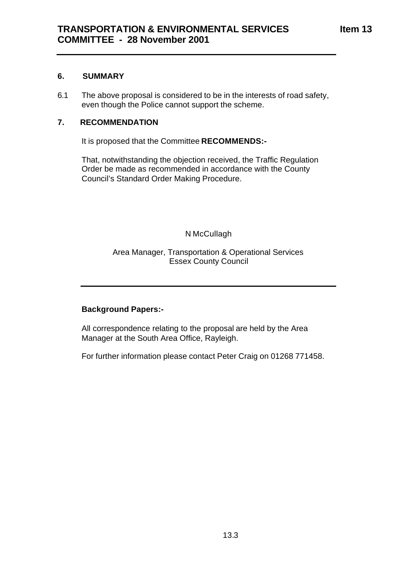#### **6. SUMMARY**

6.1 The above proposal is considered to be in the interests of road safety, even though the Police cannot support the scheme.

### **7. RECOMMENDATION**

It is proposed that the Committee **RECOMMENDS:-**

That, notwithstanding the objection received, the Traffic Regulation Order be made as recommended in accordance with the County Council's Standard Order Making Procedure.

N McCullagh

#### Area Manager, Transportation & Operational Services Essex County Council

#### **Background Papers:-**

All correspondence relating to the proposal are held by the Area Manager at the South Area Office, Rayleigh.

For further information please contact Peter Craig on 01268 771458.